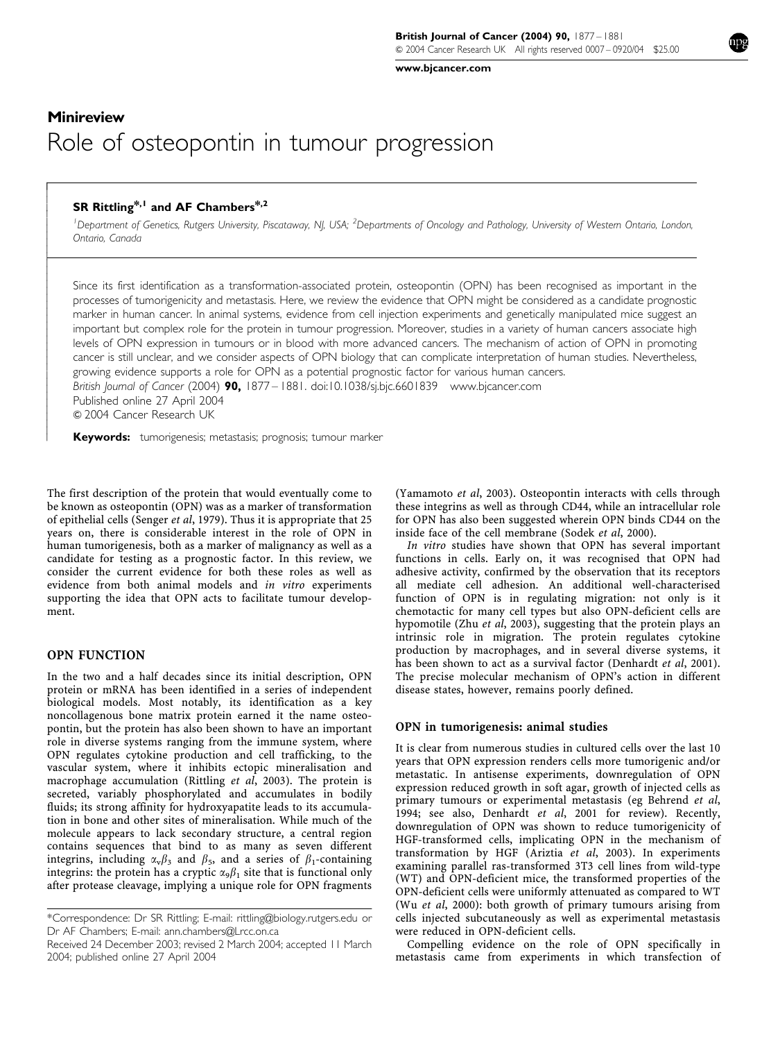www.bjcancer.com

# **Minireview** Role of osteopontin in tumour progression

## SR Rittling<sup>\*,1</sup> and AF Chambers<sup>\*,2</sup>

ŕ  $\overline{\phantom{a}}$  $\bigg\}$  $\bigg\}$  $\bigg\}$  $\overline{\phantom{a}}$  $\overline{\phantom{a}}$  $\overline{\phantom{a}}$  $\bigg\}$  $\bigg\}$ l ľ  $\overline{\phantom{a}}$  $\bigg\}$  $\bigg\}$  $\overline{\phantom{a}}$  $\overline{\phantom{a}}$  $\overline{\phantom{a}}$  $\bigg\}$  $\bigg\}$  $\overline{\phantom{a}}$  $\overline{\phantom{a}}$  $\overline{\phantom{a}}$  $\overline{\phantom{a}}$  $\bigg\}$  $\bigg\}$  $\bigg\}$  $\overline{\phantom{a}}$  $\overline{\phantom{a}}$  $\overline{\phantom{a}}$  $\bigg\}$  $\bigg\}$  $\overline{\phantom{a}}$  $\overline{\phantom{a}}$  $\overline{\phantom{a}}$  $\bigg\}$  $\bigg\}$ 

<sup>1</sup> Department of Genetics, Rutgers University, Piscataway, NJ, USA; <sup>2</sup> Departments of Oncology and Pathology, University of Western Ontario, London, Ontario, Canada

Since its first identification as a transformation-associated protein, osteopontin (OPN) has been recognised as important in the processes of tumorigenicity and metastasis. Here, we review the evidence that OPN might be considered as a candidate prognostic marker in human cancer. In animal systems, evidence from cell injection experiments and genetically manipulated mice suggest an important but complex role for the protein in tumour progression. Moreover, studies in a variety of human cancers associate high levels of OPN expression in tumours or in blood with more advanced cancers. The mechanism of action of OPN in promoting cancer is still unclear, and we consider aspects of OPN biology that can complicate interpretation of human studies. Nevertheless, growing evidence supports a role for OPN as a potential prognostic factor for various human cancers.

British Journal of Cancer (2004) 90, 1877 – 1881. doi:10.1038/sj.bjc.6601839 www.bjcancer.com

Published online 27 April 2004

& 2004 Cancer Research UK

Keywords: tumorigenesis; metastasis; prognosis; tumour marker

The first description of the protein that would eventually come to be known as osteopontin (OPN) was as a marker of transformation of epithelial cells (Senger et al, 1979). Thus it is appropriate that 25 years on, there is considerable interest in the role of OPN in human tumorigenesis, both as a marker of malignancy as well as a candidate for testing as a prognostic factor. In this review, we consider the current evidence for both these roles as well as evidence from both animal models and in vitro experiments supporting the idea that OPN acts to facilitate tumour development.

### OPN FUNCTION

In the two and a half decades since its initial description, OPN protein or mRNA has been identified in a series of independent biological models. Most notably, its identification as a key noncollagenous bone matrix protein earned it the name osteopontin, but the protein has also been shown to have an important role in diverse systems ranging from the immune system, where OPN regulates cytokine production and cell trafficking, to the vascular system, where it inhibits ectopic mineralisation and macrophage accumulation (Rittling *et al*, 2003). The protein is secreted, variably phosphorylated and accumulates in bodily fluids; its strong affinity for hydroxyapatite leads to its accumulation in bone and other sites of mineralisation. While much of the molecule appears to lack secondary structure, a central region contains sequences that bind to as many as seven different integrins, including  $\alpha_{\rm v}\beta_3$  and  $\beta_5$ , and a series of  $\beta_1$ -containing integrins: the protein has a cryptic  $\alpha_9 \beta_1$  site that is functional only after protease cleavage, implying a unique role for OPN fragments (Yamamoto et al, 2003). Osteopontin interacts with cells through these integrins as well as through CD44, while an intracellular role for OPN has also been suggested wherein OPN binds CD44 on the inside face of the cell membrane (Sodek et al, 2000).

In vitro studies have shown that OPN has several important functions in cells. Early on, it was recognised that OPN had adhesive activity, confirmed by the observation that its receptors all mediate cell adhesion. An additional well-characterised function of OPN is in regulating migration: not only is it chemotactic for many cell types but also OPN-deficient cells are hypomotile (Zhu et al, 2003), suggesting that the protein plays an intrinsic role in migration. The protein regulates cytokine production by macrophages, and in several diverse systems, it has been shown to act as a survival factor (Denhardt et al, 2001). The precise molecular mechanism of OPN's action in different disease states, however, remains poorly defined.

#### OPN in tumorigenesis: animal studies

It is clear from numerous studies in cultured cells over the last 10 years that OPN expression renders cells more tumorigenic and/or metastatic. In antisense experiments, downregulation of OPN expression reduced growth in soft agar, growth of injected cells as primary tumours or experimental metastasis (eg Behrend et al, 1994; see also, Denhardt et al, 2001 for review). Recently, downregulation of OPN was shown to reduce tumorigenicity of HGF-transformed cells, implicating OPN in the mechanism of transformation by HGF (Ariztia et al, 2003). In experiments examining parallel ras-transformed 3T3 cell lines from wild-type (WT) and OPN-deficient mice, the transformed properties of the OPN-deficient cells were uniformly attenuated as compared to WT (Wu et al, 2000): both growth of primary tumours arising from cells injected subcutaneously as well as experimental metastasis were reduced in OPN-deficient cells.

Compelling evidence on the role of OPN specifically in metastasis came from experiments in which transfection of

<sup>\*</sup>Correspondence: Dr SR Rittling; E-mail: rittling@biology.rutgers.edu or Dr AF Chambers; E-mail: ann.chambers@Lrcc.on.ca

Received 24 December 2003; revised 2 March 2004; accepted 11 March 2004; published online 27 April 2004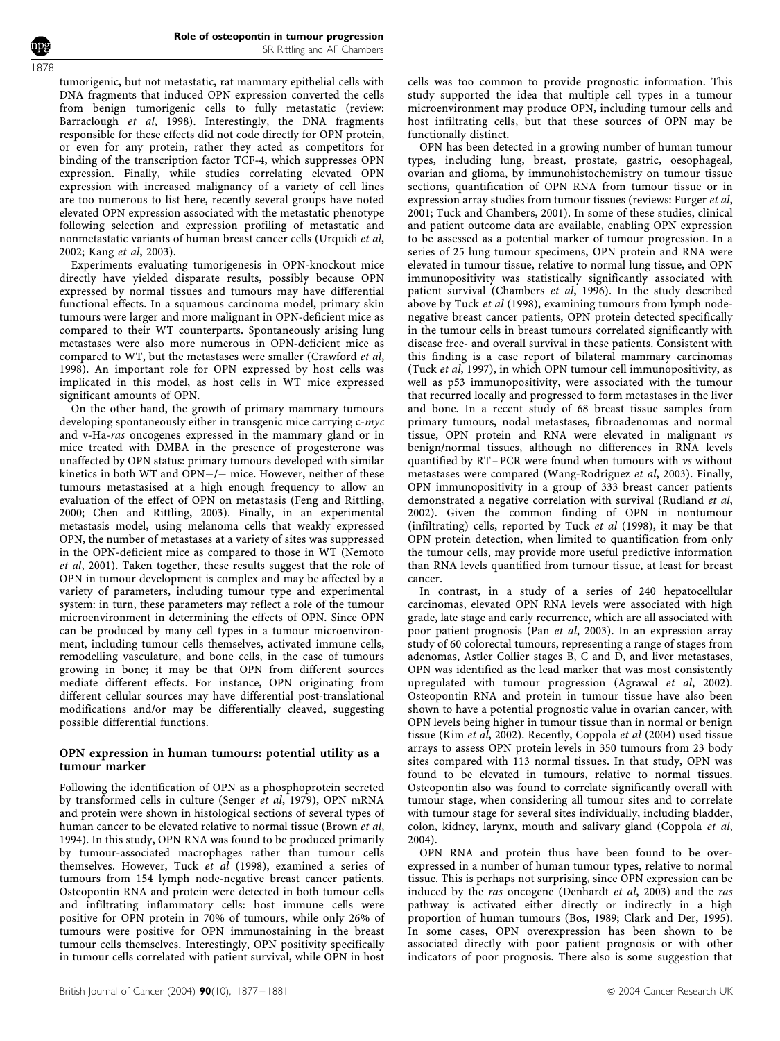tumorigenic, but not metastatic, rat mammary epithelial cells with DNA fragments that induced OPN expression converted the cells from benign tumorigenic cells to fully metastatic (review: Barraclough et al, 1998). Interestingly, the DNA fragments responsible for these effects did not code directly for OPN protein, or even for any protein, rather they acted as competitors for binding of the transcription factor TCF-4, which suppresses OPN expression. Finally, while studies correlating elevated OPN expression with increased malignancy of a variety of cell lines are too numerous to list here, recently several groups have noted elevated OPN expression associated with the metastatic phenotype following selection and expression profiling of metastatic and nonmetastatic variants of human breast cancer cells (Urquidi et al, 2002; Kang et al, 2003).

Experiments evaluating tumorigenesis in OPN-knockout mice directly have yielded disparate results, possibly because OPN expressed by normal tissues and tumours may have differential functional effects. In a squamous carcinoma model, primary skin tumours were larger and more malignant in OPN-deficient mice as compared to their WT counterparts. Spontaneously arising lung metastases were also more numerous in OPN-deficient mice as compared to WT, but the metastases were smaller (Crawford et al, 1998). An important role for OPN expressed by host cells was implicated in this model, as host cells in WT mice expressed significant amounts of OPN.

On the other hand, the growth of primary mammary tumours developing spontaneously either in transgenic mice carrying c-myc and v-Ha-ras oncogenes expressed in the mammary gland or in mice treated with DMBA in the presence of progesterone was unaffected by OPN status: primary tumours developed with similar kinetics in both WT and  $OPN-/-$  mice. However, neither of these tumours metastasised at a high enough frequency to allow an evaluation of the effect of OPN on metastasis (Feng and Rittling, 2000; Chen and Rittling, 2003). Finally, in an experimental metastasis model, using melanoma cells that weakly expressed OPN, the number of metastases at a variety of sites was suppressed in the OPN-deficient mice as compared to those in WT (Nemoto et al, 2001). Taken together, these results suggest that the role of OPN in tumour development is complex and may be affected by a variety of parameters, including tumour type and experimental system: in turn, these parameters may reflect a role of the tumour microenvironment in determining the effects of OPN. Since OPN can be produced by many cell types in a tumour microenvironment, including tumour cells themselves, activated immune cells, remodelling vasculature, and bone cells, in the case of tumours growing in bone; it may be that OPN from different sources mediate different effects. For instance, OPN originating from different cellular sources may have differential post-translational modifications and/or may be differentially cleaved, suggesting possible differential functions.

### OPN expression in human tumours: potential utility as a tumour marker

Following the identification of OPN as a phosphoprotein secreted by transformed cells in culture (Senger et al, 1979), OPN mRNA and protein were shown in histological sections of several types of human cancer to be elevated relative to normal tissue (Brown et al, 1994). In this study, OPN RNA was found to be produced primarily by tumour-associated macrophages rather than tumour cells themselves. However, Tuck et al (1998), examined a series of tumours from 154 lymph node-negative breast cancer patients. Osteopontin RNA and protein were detected in both tumour cells and infiltrating inflammatory cells: host immune cells were positive for OPN protein in 70% of tumours, while only 26% of tumours were positive for OPN immunostaining in the breast tumour cells themselves. Interestingly, OPN positivity specifically in tumour cells correlated with patient survival, while OPN in host

cells was too common to provide prognostic information. This study supported the idea that multiple cell types in a tumour microenvironment may produce OPN, including tumour cells and host infiltrating cells, but that these sources of OPN may be functionally distinct.

OPN has been detected in a growing number of human tumour types, including lung, breast, prostate, gastric, oesophageal, ovarian and glioma, by immunohistochemistry on tumour tissue sections, quantification of OPN RNA from tumour tissue or in expression array studies from tumour tissues (reviews: Furger et al, 2001; Tuck and Chambers, 2001). In some of these studies, clinical and patient outcome data are available, enabling OPN expression to be assessed as a potential marker of tumour progression. In a series of 25 lung tumour specimens, OPN protein and RNA were elevated in tumour tissue, relative to normal lung tissue, and OPN immunopositivity was statistically significantly associated with patient survival (Chambers et al, 1996). In the study described above by Tuck et al (1998), examining tumours from lymph nodenegative breast cancer patients, OPN protein detected specifically in the tumour cells in breast tumours correlated significantly with disease free- and overall survival in these patients. Consistent with this finding is a case report of bilateral mammary carcinomas (Tuck et al, 1997), in which OPN tumour cell immunopositivity, as well as p53 immunopositivity, were associated with the tumour that recurred locally and progressed to form metastases in the liver and bone. In a recent study of 68 breast tissue samples from primary tumours, nodal metastases, fibroadenomas and normal tissue, OPN protein and RNA were elevated in malignant vs benign/normal tissues, although no differences in RNA levels quantified by RT– PCR were found when tumours with vs without metastases were compared (Wang-Rodriguez et al, 2003). Finally, OPN immunopositivity in a group of 333 breast cancer patients demonstrated a negative correlation with survival (Rudland et al, 2002). Given the common finding of OPN in nontumour (infiltrating) cells, reported by Tuck et al (1998), it may be that OPN protein detection, when limited to quantification from only the tumour cells, may provide more useful predictive information than RNA levels quantified from tumour tissue, at least for breast cancer.

In contrast, in a study of a series of 240 hepatocellular carcinomas, elevated OPN RNA levels were associated with high grade, late stage and early recurrence, which are all associated with poor patient prognosis (Pan et al, 2003). In an expression array study of 60 colorectal tumours, representing a range of stages from adenomas, Astler Collier stages B, C and D, and liver metastases, OPN was identified as the lead marker that was most consistently upregulated with tumour progression (Agrawal et al, 2002). Osteopontin RNA and protein in tumour tissue have also been shown to have a potential prognostic value in ovarian cancer, with OPN levels being higher in tumour tissue than in normal or benign tissue (Kim et al, 2002). Recently, Coppola et al (2004) used tissue arrays to assess OPN protein levels in 350 tumours from 23 body sites compared with 113 normal tissues. In that study, OPN was found to be elevated in tumours, relative to normal tissues. Osteopontin also was found to correlate significantly overall with tumour stage, when considering all tumour sites and to correlate with tumour stage for several sites individually, including bladder, colon, kidney, larynx, mouth and salivary gland (Coppola et al, 2004).

OPN RNA and protein thus have been found to be overexpressed in a number of human tumour types, relative to normal tissue. This is perhaps not surprising, since OPN expression can be induced by the ras oncogene (Denhardt et al, 2003) and the ras pathway is activated either directly or indirectly in a high proportion of human tumours (Bos, 1989; Clark and Der, 1995). In some cases, OPN overexpression has been shown to be associated directly with poor patient prognosis or with other indicators of poor prognosis. There also is some suggestion that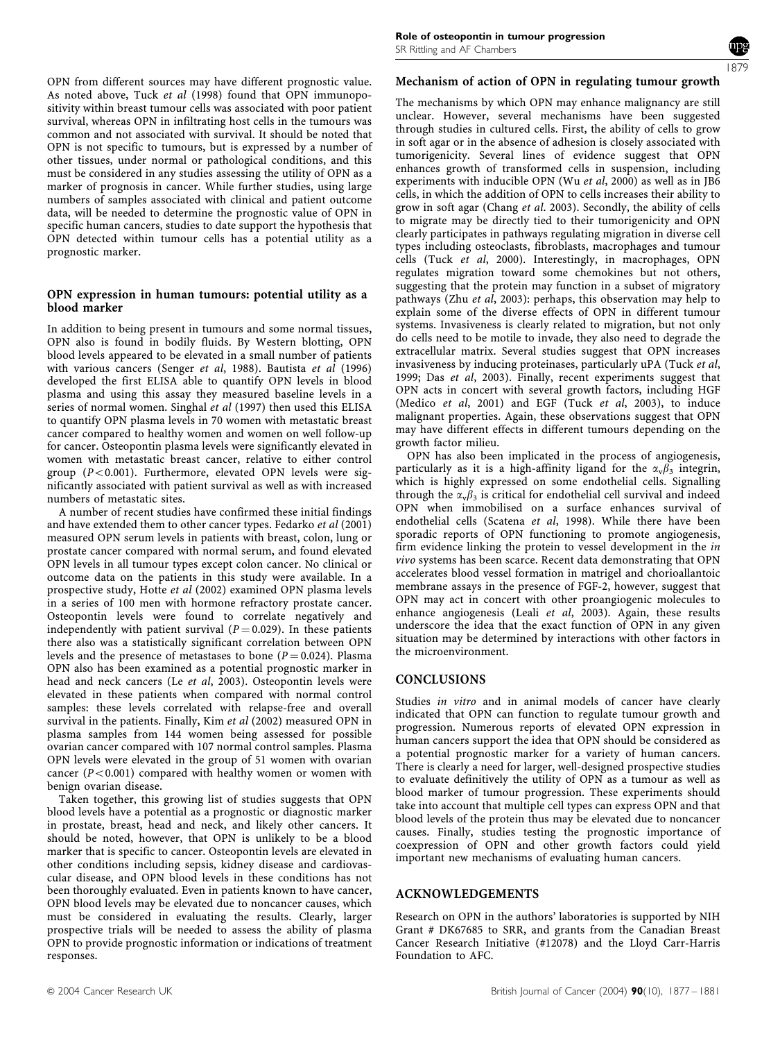OPN from different sources may have different prognostic value. As noted above, Tuck et al (1998) found that OPN immunopositivity within breast tumour cells was associated with poor patient survival, whereas OPN in infiltrating host cells in the tumours was common and not associated with survival. It should be noted that OPN is not specific to tumours, but is expressed by a number of other tissues, under normal or pathological conditions, and this must be considered in any studies assessing the utility of OPN as a marker of prognosis in cancer. While further studies, using large numbers of samples associated with clinical and patient outcome data, will be needed to determine the prognostic value of OPN in specific human cancers, studies to date support the hypothesis that OPN detected within tumour cells has a potential utility as a prognostic marker.

### OPN expression in human tumours: potential utility as a blood marker

In addition to being present in tumours and some normal tissues, OPN also is found in bodily fluids. By Western blotting, OPN blood levels appeared to be elevated in a small number of patients with various cancers (Senger et al, 1988). Bautista et al  $(1996)$ developed the first ELISA able to quantify OPN levels in blood plasma and using this assay they measured baseline levels in a series of normal women. Singhal et al (1997) then used this ELISA to quantify OPN plasma levels in 70 women with metastatic breast cancer compared to healthy women and women on well follow-up for cancer. Osteopontin plasma levels were significantly elevated in women with metastatic breast cancer, relative to either control group ( $P < 0.001$ ). Furthermore, elevated OPN levels were significantly associated with patient survival as well as with increased numbers of metastatic sites.

A number of recent studies have confirmed these initial findings and have extended them to other cancer types. Fedarko et al (2001) measured OPN serum levels in patients with breast, colon, lung or prostate cancer compared with normal serum, and found elevated OPN levels in all tumour types except colon cancer. No clinical or outcome data on the patients in this study were available. In a prospective study, Hotte et al (2002) examined OPN plasma levels in a series of 100 men with hormone refractory prostate cancer. Osteopontin levels were found to correlate negatively and independently with patient survival ( $P = 0.029$ ). In these patients there also was a statistically significant correlation between OPN levels and the presence of metastases to bone ( $P = 0.024$ ). Plasma OPN also has been examined as a potential prognostic marker in head and neck cancers (Le et al, 2003). Osteopontin levels were elevated in these patients when compared with normal control samples: these levels correlated with relapse-free and overall survival in the patients. Finally, Kim et al (2002) measured OPN in plasma samples from 144 women being assessed for possible ovarian cancer compared with 107 normal control samples. Plasma OPN levels were elevated in the group of 51 women with ovarian cancer ( $P < 0.001$ ) compared with healthy women or women with benign ovarian disease.

Taken together, this growing list of studies suggests that OPN blood levels have a potential as a prognostic or diagnostic marker in prostate, breast, head and neck, and likely other cancers. It should be noted, however, that OPN is unlikely to be a blood marker that is specific to cancer. Osteopontin levels are elevated in other conditions including sepsis, kidney disease and cardiovascular disease, and OPN blood levels in these conditions has not been thoroughly evaluated. Even in patients known to have cancer, OPN blood levels may be elevated due to noncancer causes, which must be considered in evaluating the results. Clearly, larger prospective trials will be needed to assess the ability of plasma OPN to provide prognostic information or indications of treatment responses.

# 1879

## Mechanism of action of OPN in regulating tumour growth

The mechanisms by which OPN may enhance malignancy are still unclear. However, several mechanisms have been suggested through studies in cultured cells. First, the ability of cells to grow in soft agar or in the absence of adhesion is closely associated with tumorigenicity. Several lines of evidence suggest that OPN enhances growth of transformed cells in suspension, including experiments with inducible OPN (Wu et al, 2000) as well as in JB6 cells, in which the addition of OPN to cells increases their ability to grow in soft agar (Chang et al. 2003). Secondly, the ability of cells to migrate may be directly tied to their tumorigenicity and OPN clearly participates in pathways regulating migration in diverse cell types including osteoclasts, fibroblasts, macrophages and tumour cells (Tuck et al, 2000). Interestingly, in macrophages, OPN regulates migration toward some chemokines but not others, suggesting that the protein may function in a subset of migratory pathways (Zhu et al, 2003): perhaps, this observation may help to explain some of the diverse effects of OPN in different tumour systems. Invasiveness is clearly related to migration, but not only do cells need to be motile to invade, they also need to degrade the extracellular matrix. Several studies suggest that OPN increases invasiveness by inducing proteinases, particularly uPA (Tuck et al, 1999; Das et al, 2003). Finally, recent experiments suggest that OPN acts in concert with several growth factors, including HGF (Medico et al, 2001) and EGF (Tuck et al, 2003), to induce malignant properties. Again, these observations suggest that OPN may have different effects in different tumours depending on the growth factor milieu.

OPN has also been implicated in the process of angiogenesis, particularly as it is a high-affinity ligand for the  $\alpha_{\rm v}\beta_3$  integrin, which is highly expressed on some endothelial cells. Signalling through the  $\alpha_{\rm v}\beta_3$  is critical for endothelial cell survival and indeed OPN when immobilised on a surface enhances survival of endothelial cells (Scatena et al, 1998). While there have been sporadic reports of OPN functioning to promote angiogenesis, firm evidence linking the protein to vessel development in the in vivo systems has been scarce. Recent data demonstrating that OPN accelerates blood vessel formation in matrigel and chorioallantoic membrane assays in the presence of FGF-2, however, suggest that OPN may act in concert with other proangiogenic molecules to enhance angiogenesis (Leali et al,  $2003$ ). Again, these results underscore the idea that the exact function of OPN in any given situation may be determined by interactions with other factors in the microenvironment.

## **CONCLUSIONS**

Studies in vitro and in animal models of cancer have clearly indicated that OPN can function to regulate tumour growth and progression. Numerous reports of elevated OPN expression in human cancers support the idea that OPN should be considered as a potential prognostic marker for a variety of human cancers. There is clearly a need for larger, well-designed prospective studies to evaluate definitively the utility of OPN as a tumour as well as blood marker of tumour progression. These experiments should take into account that multiple cell types can express OPN and that blood levels of the protein thus may be elevated due to noncancer causes. Finally, studies testing the prognostic importance of coexpression of OPN and other growth factors could yield important new mechanisms of evaluating human cancers.

### ACKNOWLEDGEMENTS

Research on OPN in the authors' laboratories is supported by NIH Grant # DK67685 to SRR, and grants from the Canadian Breast Cancer Research Initiative (#12078) and the Lloyd Carr-Harris Foundation to AFC.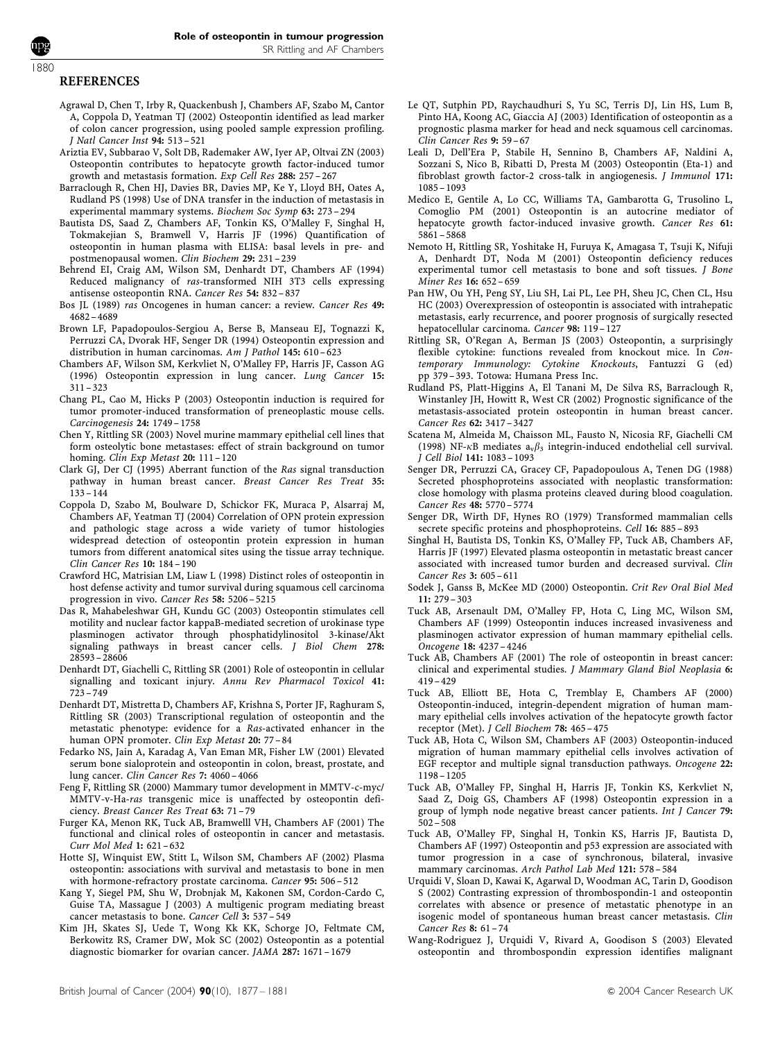### 1880

#### **REFERENCES**

- Agrawal D, Chen T, Irby R, Quackenbush J, Chambers AF, Szabo M, Cantor A, Coppola D, Yeatman TJ (2002) Osteopontin identified as lead marker of colon cancer progression, using pooled sample expression profiling. J Natl Cancer Inst 94: 513 – 521
- Ariztia EV, Subbarao V, Solt DB, Rademaker AW, Iyer AP, Oltvai ZN (2003) Osteopontin contributes to hepatocyte growth factor-induced tumor growth and metastasis formation. Exp Cell Res 288: 257 – 267
- Barraclough R, Chen HJ, Davies BR, Davies MP, Ke Y, Lloyd BH, Oates A, Rudland PS (1998) Use of DNA transfer in the induction of metastasis in experimental mammary systems. Biochem Soc Symp 63: 273 – 294
- Bautista DS, Saad Z, Chambers AF, Tonkin KS, O'Malley F, Singhal H, Tokmakejian S, Bramwell V, Harris JF (1996) Quantification of osteopontin in human plasma with ELISA: basal levels in pre- and postmenopausal women. Clin Biochem 29: 231 – 239
- Behrend EI, Craig AM, Wilson SM, Denhardt DT, Chambers AF (1994) Reduced malignancy of ras-transformed NIH 3T3 cells expressing antisense osteopontin RNA. Cancer Res 54: 832 – 837
- Bos JL (1989) ras Oncogenes in human cancer: a review. Cancer Res 49: 4682 – 4689

Brown LF, Papadopoulos-Sergiou A, Berse B, Manseau EJ, Tognazzi K, Perruzzi CA, Dvorak HF, Senger DR (1994) Osteopontin expression and distribution in human carcinomas. Am J Pathol 145: 610 – 623

- Chambers AF, Wilson SM, Kerkvliet N, O'Malley FP, Harris JF, Casson AG (1996) Osteopontin expression in lung cancer. Lung Cancer 15: 311 – 323
- Chang PL, Cao M, Hicks P (2003) Osteopontin induction is required for tumor promoter-induced transformation of preneoplastic mouse cells. Carcinogenesis 24: 1749 – 1758
- Chen Y, Rittling SR (2003) Novel murine mammary epithelial cell lines that form osteolytic bone metastases: effect of strain background on tumor homing. Clin Exp Metast 20: 111-120
- Clark GJ, Der CJ (1995) Aberrant function of the Ras signal transduction pathway in human breast cancer. Breast Cancer Res Treat 35:  $133 - 144$
- Coppola D, Szabo M, Boulware D, Schickor FK, Muraca P, Alsarraj M, Chambers AF, Yeatman TJ (2004) Correlation of OPN protein expression and pathologic stage across a wide variety of tumor histologies widespread detection of osteopontin protein expression in human tumors from different anatomical sites using the tissue array technique. Clin Cancer Res 10: 184 – 190
- Crawford HC, Matrisian LM, Liaw L (1998) Distinct roles of osteopontin in host defense activity and tumor survival during squamous cell carcinoma progression in vivo. Cancer Res 58: 5206 – 5215
- Das R, Mahabeleshwar GH, Kundu GC (2003) Osteopontin stimulates cell motility and nuclear factor kappaB-mediated secretion of urokinase type plasminogen activator through phosphatidylinositol 3-kinase/Akt signaling pathways in breast cancer cells. J Biol Chem 278: 28593 – 28606
- Denhardt DT, Giachelli C, Rittling SR (2001) Role of osteopontin in cellular signalling and toxicant injury. Annu Rev Pharmacol Toxicol 41: 723 – 749
- Denhardt DT, Mistretta D, Chambers AF, Krishna S, Porter JF, Raghuram S, Rittling SR (2003) Transcriptional regulation of osteopontin and the metastatic phenotype: evidence for a Ras-activated enhancer in the human OPN promoter. Clin Exp Metast 20: 77 – 84
- Fedarko NS, Jain A, Karadag A, Van Eman MR, Fisher LW (2001) Elevated serum bone sialoprotein and osteopontin in colon, breast, prostate, and lung cancer. Clin Cancer Res 7: 4060 – 4066
- Feng F, Rittling SR (2000) Mammary tumor development in MMTV-c-myc/ MMTV-v-Ha-ras transgenic mice is unaffected by osteopontin deficiency. Breast Cancer Res Treat 63: 71 – 79
- Furger KA, Menon RK, Tuck AB, Bramwelll VH, Chambers AF (2001) The functional and clinical roles of osteopontin in cancer and metastasis. Curr Mol Med 1: 621 – 632
- Hotte SJ, Winquist EW, Stitt L, Wilson SM, Chambers AF (2002) Plasma osteopontin: associations with survival and metastasis to bone in men with hormone-refractory prostate carcinoma. Cancer 95: 506 – 512
- Kang Y, Siegel PM, Shu W, Drobnjak M, Kakonen SM, Cordon-Cardo C, Guise TA, Massague J (2003) A multigenic program mediating breast cancer metastasis to bone. Cancer Cell 3: 537-549
- Kim JH, Skates SJ, Uede T, Wong Kk KK, Schorge JO, Feltmate CM, Berkowitz RS, Cramer DW, Mok SC (2002) Osteopontin as a potential diagnostic biomarker for ovarian cancer. JAMA 287: 1671 – 1679
- Le QT, Sutphin PD, Raychaudhuri S, Yu SC, Terris DJ, Lin HS, Lum B, Pinto HA, Koong AC, Giaccia AJ (2003) Identification of osteopontin as a prognostic plasma marker for head and neck squamous cell carcinomas. Clin Cancer Res 9: 59 – 67
- Leali D, Dell'Era P, Stabile H, Sennino B, Chambers AF, Naldini A, Sozzani S, Nico B, Ribatti D, Presta M (2003) Osteopontin (Eta-1) and fibroblast growth factor-2 cross-talk in angiogenesis. J Immunol 171: 1085 – 1093
- Medico E, Gentile A, Lo CC, Williams TA, Gambarotta G, Trusolino L, Comoglio PM (2001) Osteopontin is an autocrine mediator of hepatocyte growth factor-induced invasive growth. Cancer Res 61: 5861 – 5868
- Nemoto H, Rittling SR, Yoshitake H, Furuya K, Amagasa T, Tsuji K, Nifuji A, Denhardt DT, Noda M (2001) Osteopontin deficiency reduces experimental tumor cell metastasis to bone and soft tissues. J Bone Miner Res 16: 652 – 659
- Pan HW, Ou YH, Peng SY, Liu SH, Lai PL, Lee PH, Sheu JC, Chen CL, Hsu HC (2003) Overexpression of osteopontin is associated with intrahepatic metastasis, early recurrence, and poorer prognosis of surgically resected hepatocellular carcinoma. Cancer 98: 119 – 127
- Rittling SR, O'Regan A, Berman JS (2003) Osteopontin, a surprisingly flexible cytokine: functions revealed from knockout mice. In Contemporary Immunology: Cytokine Knockouts, Fantuzzi G (ed) pp 379 – 393. Totowa: Humana Press Inc.
- Rudland PS, Platt-Higgins A, El Tanani M, De Silva RS, Barraclough R, Winstanley JH, Howitt R, West CR (2002) Prognostic significance of the metastasis-associated protein osteopontin in human breast cancer. Cancer Res 62: 3417 – 3427
- Scatena M, Almeida M, Chaisson ML, Fausto N, Nicosia RF, Giachelli CM (1998) NF- $\kappa$ B mediates  $a_v\beta_3$  integrin-induced endothelial cell survival. J Cell Biol 141: 1083 – 1093
- Senger DR, Perruzzi CA, Gracey CF, Papadopoulous A, Tenen DG (1988) Secreted phosphoproteins associated with neoplastic transformation: close homology with plasma proteins cleaved during blood coagulation. Cancer Res 48: 5770 – 5774
- Senger DR, Wirth DF, Hynes RO (1979) Transformed mammalian cells secrete specific proteins and phosphoproteins. Cell 16: 885 – 893
- Singhal H, Bautista DS, Tonkin KS, O'Malley FP, Tuck AB, Chambers AF, Harris JF (1997) Elevated plasma osteopontin in metastatic breast cancer associated with increased tumor burden and decreased survival. Clin Cancer Res 3: 605 – 611
- Sodek J, Ganss B, McKee MD (2000) Osteopontin. Crit Rev Oral Biol Med 11: 279 – 303
- Tuck AB, Arsenault DM, O'Malley FP, Hota C, Ling MC, Wilson SM, Chambers AF (1999) Osteopontin induces increased invasiveness and plasminogen activator expression of human mammary epithelial cells. Oncogene 18: 4237 – 4246
- Tuck AB, Chambers AF (2001) The role of osteopontin in breast cancer: clinical and experimental studies. J Mammary Gland Biol Neoplasia 6: 419 – 429
- Tuck AB, Elliott BE, Hota C, Tremblay E, Chambers AF (2000) Osteopontin-induced, integrin-dependent migration of human mammary epithelial cells involves activation of the hepatocyte growth factor receptor (Met). J Cell Biochem 78: 465 – 475
- Tuck AB, Hota C, Wilson SM, Chambers AF (2003) Osteopontin-induced migration of human mammary epithelial cells involves activation of EGF receptor and multiple signal transduction pathways. Oncogene 22: 1198 – 1205
- Tuck AB, O'Malley FP, Singhal H, Harris JF, Tonkin KS, Kerkvliet N, Saad Z, Doig GS, Chambers AF (1998) Osteopontin expression in a group of lymph node negative breast cancer patients. Int J Cancer 79: 502 – 508
- Tuck AB, O'Malley FP, Singhal H, Tonkin KS, Harris JF, Bautista D, Chambers AF (1997) Osteopontin and p53 expression are associated with tumor progression in a case of synchronous, bilateral, invasive mammary carcinomas. Arch Pathol Lab Med 121: 578 – 584
- Urquidi V, Sloan D, Kawai K, Agarwal D, Woodman AC, Tarin D, Goodison S (2002) Contrasting expression of thrombospondin-1 and osteopontin correlates with absence or presence of metastatic phenotype in an isogenic model of spontaneous human breast cancer metastasis. Clin Cancer Res 8: 61 – 74
- Wang-Rodriguez J, Urquidi V, Rivard A, Goodison S (2003) Elevated osteopontin and thrombospondin expression identifies malignant